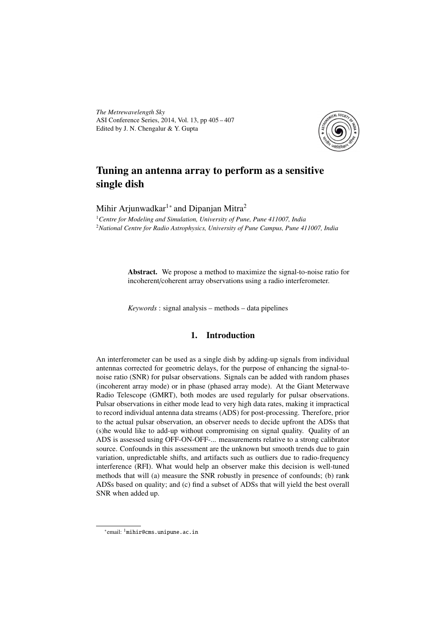*The Metrewavelength Sky* ASI Conference Series, 2014, Vol. 13, pp 405 – 407 Edited by J. N. Chengalur & Y. Gupta



# Tuning an antenna array to perform as a sensitive single dish

Mihir Arjunwadkar $^{1*}$  and Dipanjan Mitra $^2$ 

<sup>1</sup>*Centre for Modeling and Simulation, University of Pune, Pune 411007, India* <sup>2</sup>*National Centre for Radio Astrophysics, University of Pune Campus, Pune 411007, India*

> Abstract. We propose a method to maximize the signal-to-noise ratio for incoherent/coherent array observations using a radio interferometer.

*Keywords* : signal analysis – methods – data pipelines

## 1. Introduction

An interferometer can be used as a single dish by adding-up signals from individual antennas corrected for geometric delays, for the purpose of enhancing the signal-tonoise ratio (SNR) for pulsar observations. Signals can be added with random phases (incoherent array mode) or in phase (phased array mode). At the Giant Meterwave Radio Telescope (GMRT), both modes are used regularly for pulsar observations. Pulsar observations in either mode lead to very high data rates, making it impractical to record individual antenna data streams (ADS) for post-processing. Therefore, prior to the actual pulsar observation, an observer needs to decide upfront the ADSs that (s)he would like to add-up without compromising on signal quality. Quality of an ADS is assessed using OFF-ON-OFF-... measurements relative to a strong calibrator source. Confounds in this assessment are the unknown but smooth trends due to gain variation, unpredictable shifts, and artifacts such as outliers due to radio-frequency interference (RFI). What would help an observer make this decision is well-tuned methods that will (a) measure the SNR robustly in presence of confounds; (b) rank ADSs based on quality; and (c) find a subset of ADSs that will yield the best overall SNR when added up.

<sup>∗</sup> email: <sup>1</sup>mihir@cms.unipune.ac.in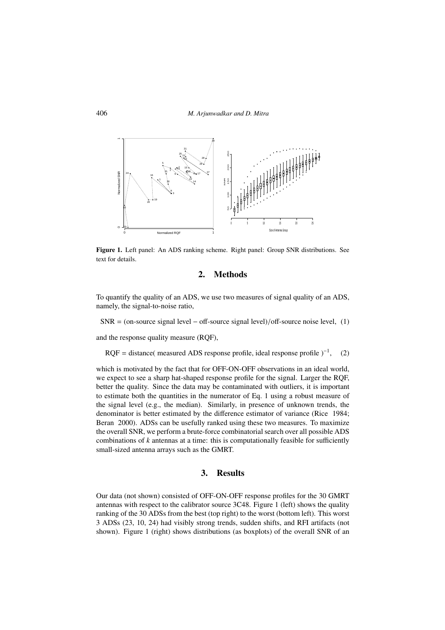

Figure 1. Left panel: An ADS ranking scheme. Right panel: Group SNR distributions. See text for details.

#### 2. Methods

To quantify the quality of an ADS, we use two measures of signal quality of an ADS, namely, the signal-to-noise ratio,

 $SNR = (on-source signal level - off-source signal level)/off-source noise level, (1)$ 

and the response quality measure (RQF),

RQF = distance( measured ADS response profile, ideal response profile  $)^{-1}$ ,  $(2)$ 

which is motivated by the fact that for OFF-ON-OFF observations in an ideal world, we expect to see a sharp hat-shaped response profile for the signal. Larger the RQF, better the quality. Since the data may be contaminated with outliers, it is important to estimate both the quantities in the numerator of Eq. 1 using a robust measure of the signal level (e.g., the median). Similarly, in presence of unknown trends, the denominator is better estimated by the difference estimator of variance (Rice 1984; Beran 2000). ADSs can be usefully ranked using these two measures. To maximize the overall SNR, we perform a brute-force combinatorial search over all possible ADS combinations of *k* antennas at a time: this is computationally feasible for sufficiently small-sized antenna arrays such as the GMRT.

### 3. Results

Our data (not shown) consisted of OFF-ON-OFF response profiles for the 30 GMRT antennas with respect to the calibrator source 3C48. Figure 1 (left) shows the quality ranking of the 30 ADSs from the best (top right) to the worst (bottom left). This worst 3 ADSs (23, 10, 24) had visibly strong trends, sudden shifts, and RFI artifacts (not shown). Figure 1 (right) shows distributions (as boxplots) of the overall SNR of an